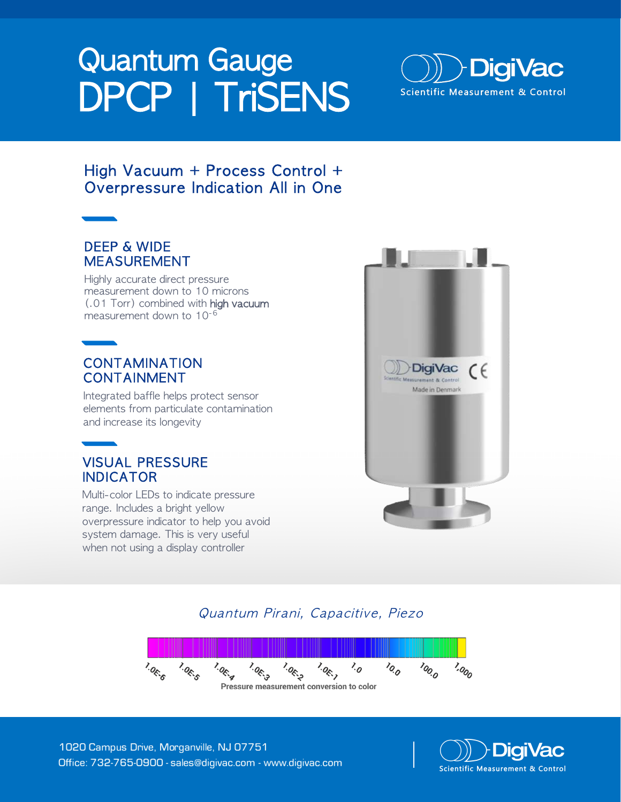# Quantum Gauge DPCP | TriSENS



## High Vacuum + Process Control + Overpressure Indication All in One

## DEEP & WIDE MEASUREMENT

Highly accurate direct pressure measurement down to 10 microns (.01 Torr) combined with high vacuum measurement down to 10-6

## CONTAMINATION CONTAINMENT

Integrated baffle helps protect sensor elements from particulate contamination and increase its longevity

## VISUAL PRESSURE INDICATOR

Multi-color LEDs to indicate pressure range. Includes a bright yellow overpressure indicator to help you avoid system damage. This is very useful when not using a display controller



## Quantum Pirani, Capacitive, Piezo



1020 Campus Drive, Morganville, NJ 07751 Office: 732-765-0900 - sales@digivac.com - www.digivac.com